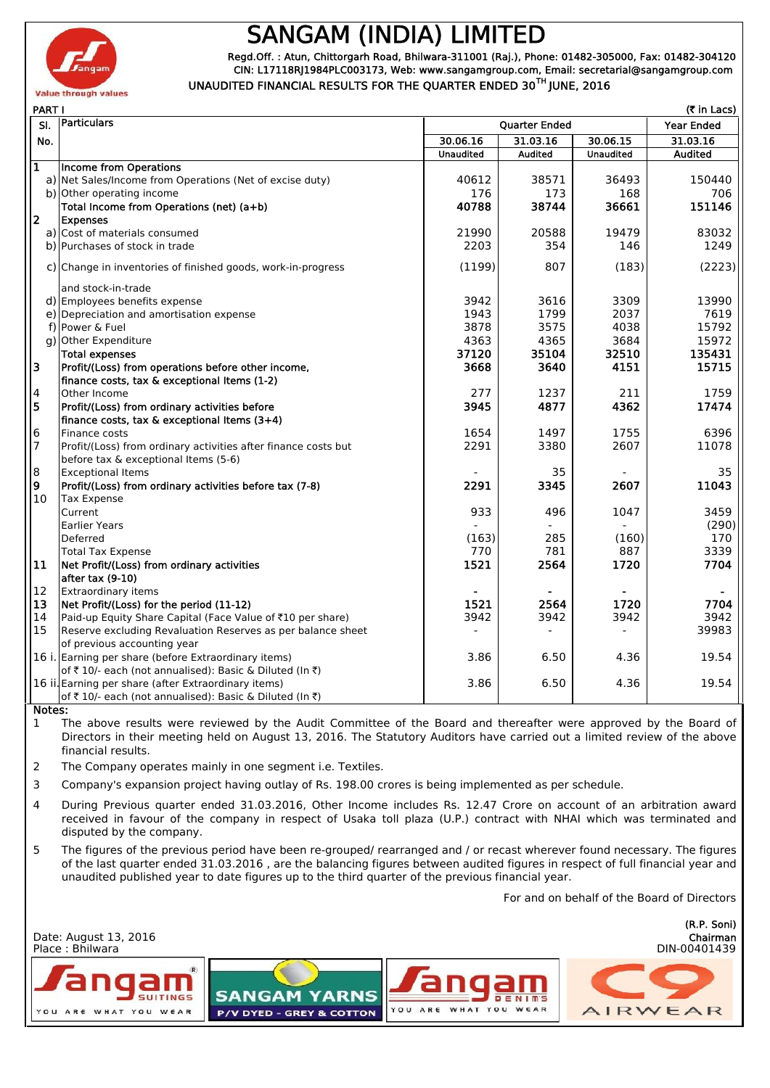

## **SANGAM (INDIA) LIMITED**

**Regd.Off. : Atun, Chittorgarh Road, Bhilwara-311001 (Raj.), Phone: 01482-305000, Fax: 01482-304120 CIN: L17118RJ1984PLC003173, Web: www.sangamgroup.com, Email: secretarial@sangamgroup.com UNAUDITED FINANCIAL RESULTS FOR THE QUARTER ENDED 30TH JUNE, 2016**

|                         | PART I<br>$(5$ in Lacs)                                        |                  |                      |                  |                |  |
|-------------------------|----------------------------------------------------------------|------------------|----------------------|------------------|----------------|--|
| SI.                     | Particulars                                                    |                  | <b>Quarter Ended</b> |                  |                |  |
| No.                     |                                                                | 30.06.16         | 31.03.16             | 30.06.15         | 31.03.16       |  |
|                         |                                                                | <b>Unaudited</b> | <b>Audited</b>       | <b>Unaudited</b> | <b>Audited</b> |  |
| $\overline{\mathbf{1}}$ | Income from Operations                                         |                  |                      |                  |                |  |
|                         | a) Net Sales/Income from Operations (Net of excise duty)       | 40612            | 38571                | 36493            | 150440         |  |
|                         | b) Other operating income                                      | 176              | 173                  | 168              | 706            |  |
|                         | Total Income from Operations (net) (a+b)                       | 40788            | 38744                | 36661            | 151146         |  |
| $\overline{\mathbf{2}}$ | <b>Expenses</b>                                                |                  |                      |                  |                |  |
|                         | a) Cost of materials consumed                                  | 21990            | 20588                | 19479            | 83032          |  |
|                         | b) Purchases of stock in trade                                 | 2203             | 354                  | 146              | 1249           |  |
|                         | c) Change in inventories of finished goods, work-in-progress   | (1199)           | 807                  | (183)            | (2223)         |  |
|                         | and stock-in-trade                                             |                  |                      |                  |                |  |
|                         | d) Employees benefits expense                                  | 3942             | 3616                 | 3309             | 13990          |  |
|                         | e) Depreciation and amortisation expense                       | 1943             | 1799                 | 2037             | 7619           |  |
|                         | f) Power & Fuel                                                | 3878             | 3575                 | 4038             | 15792          |  |
|                         | g) Other Expenditure                                           | 4363             | 4365                 | 3684             | 15972          |  |
|                         | Total expenses                                                 | 37120            | 35104                | 32510            | 135431         |  |
| з                       | Profit/(Loss) from operations before other income,             | 3668             | 3640                 | 4151             | 15715          |  |
|                         | finance costs, tax & exceptional Items (1-2)                   |                  |                      |                  |                |  |
| $\overline{4}$          | Other Income                                                   | 277              | 1237                 | 211              | 1759           |  |
| 5                       | Profit/(Loss) from ordinary activities before                  | 3945             | 4877                 | 4362             | 17474          |  |
|                         | finance costs, tax & exceptional Items (3+4)                   |                  |                      |                  |                |  |
| $6\phantom{1}6$         | Finance costs                                                  | 1654             | 1497                 | 1755             | 6396           |  |
| $\overline{7}$          | Profit/(Loss) from ordinary activities after finance costs but | 2291             | 3380                 | 2607             | 11078          |  |
|                         | before tax & exceptional Items (5-6)                           |                  |                      |                  |                |  |
| $\overline{8}$          | <b>Exceptional Items</b>                                       |                  | 35                   |                  | 35             |  |
| $\boldsymbol{9}$        | Profit/(Loss) from ordinary activities before tax (7-8)        | 2291             | 3345                 | 2607             | 11043          |  |
| 10                      | Tax Expense                                                    |                  |                      |                  |                |  |
|                         | Current                                                        | 933              | 496                  | 1047             | 3459           |  |
|                         | Earlier Years                                                  |                  |                      |                  | (290)          |  |
|                         | Deferred                                                       | (163)            | 285                  | (160)            | 170            |  |
|                         | <b>Total Tax Expense</b>                                       | 770              | 781                  | 887              | 3339           |  |
| 11                      | Net Profit/(Loss) from ordinary activities                     | 1521             | 2564                 | 1720             | 7704           |  |
|                         | after tax (9-10)                                               |                  |                      |                  |                |  |
| 12                      | <b>Extraordinary items</b>                                     |                  |                      |                  |                |  |
| 13                      | Net Profit/(Loss) for the period (11-12)                       | 1521             | 2564                 | 1720             | 7704           |  |
| 14                      | Paid-up Equity Share Capital (Face Value of ₹10 per share)     | 3942             | 3942                 | 3942             | 3942           |  |
| 15                      | Reserve excluding Revaluation Reserves as per balance sheet    |                  |                      |                  | 39983          |  |
|                         | of previous accounting year                                    |                  |                      |                  |                |  |
|                         | 16 i. Earning per share (before Extraordinary items)           | 3.86             | 6.50                 | 4.36             | 19.54          |  |
|                         | of ₹ 10/- each (not annualised): Basic & Diluted (In ₹)        |                  |                      |                  |                |  |
|                         | 16 ii. Earning per share (after Extraordinary items)           | 3.86             | 6.50                 | 4.36             | 19.54          |  |
|                         | of ₹10/- each (not annualised): Basic & Diluted (In ₹)         |                  |                      |                  |                |  |

**Notes:**

1 The above results were reviewed by the Audit Committee of the Board and thereafter were approved by the Board of Directors in their meeting held on August 13, 2016. The Statutory Auditors have carried out a limited review of the above financial results.

- 2 The Company operates mainly in one segment i.e. Textiles.
- 3 Company's expansion project having outlay of Rs. 198.00 crores is being implemented as per schedule.
- 4 During Previous quarter ended 31.03.2016, Other Income includes Rs. 12.47 Crore on account of an arbitration award received in favour of the company in respect of Usaka toll plaza (U.P.) contract with NHAI which was terminated and disputed by the company.
- 5 The figures of the previous period have been re-grouped/ rearranged and / or recast wherever found necessary. The figures of the last quarter ended 31.03.2016 , are the balancing figures between audited figures in respect of full financial year and unaudited published year to date figures up to the third quarter of the previous financial year.

For and on behalf of the Board of Directors